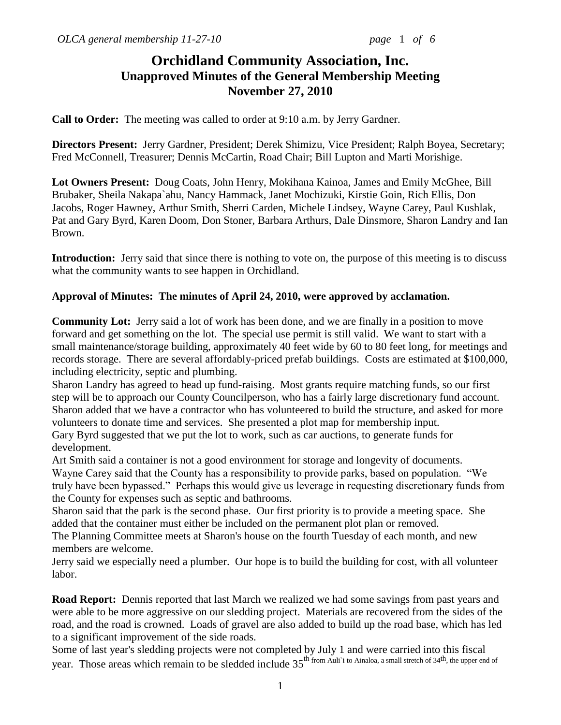# **Orchidland Community Association, Inc. Unapproved Minutes of the General Membership Meeting November 27, 2010**

**Call to Order:** The meeting was called to order at 9:10 a.m. by Jerry Gardner.

**Directors Present:** Jerry Gardner, President; Derek Shimizu, Vice President; Ralph Boyea, Secretary; Fred McConnell, Treasurer; Dennis McCartin, Road Chair; Bill Lupton and Marti Morishige.

**Lot Owners Present:** Doug Coats, John Henry, Mokihana Kainoa, James and Emily McGhee, Bill Brubaker, Sheila Nakapa`ahu, Nancy Hammack, Janet Mochizuki, Kirstie Goin, Rich Ellis, Don Jacobs, Roger Hawney, Arthur Smith, Sherri Carden, Michele Lindsey, Wayne Carey, Paul Kushlak, Pat and Gary Byrd, Karen Doom, Don Stoner, Barbara Arthurs, Dale Dinsmore, Sharon Landry and Ian Brown.

**Introduction:** Jerry said that since there is nothing to vote on, the purpose of this meeting is to discuss what the community wants to see happen in Orchidland.

### **Approval of Minutes: The minutes of April 24, 2010, were approved by acclamation.**

**Community Lot:** Jerry said a lot of work has been done, and we are finally in a position to move forward and get something on the lot. The special use permit is still valid. We want to start with a small maintenance/storage building, approximately 40 feet wide by 60 to 80 feet long, for meetings and records storage. There are several affordably-priced prefab buildings. Costs are estimated at \$100,000, including electricity, septic and plumbing.

Sharon Landry has agreed to head up fund-raising. Most grants require matching funds, so our first step will be to approach our County Councilperson, who has a fairly large discretionary fund account. Sharon added that we have a contractor who has volunteered to build the structure, and asked for more volunteers to donate time and services. She presented a plot map for membership input.

Gary Byrd suggested that we put the lot to work, such as car auctions, to generate funds for development.

Art Smith said a container is not a good environment for storage and longevity of documents.

Wayne Carey said that the County has a responsibility to provide parks, based on population. "We truly have been bypassed." Perhaps this would give us leverage in requesting discretionary funds from the County for expenses such as septic and bathrooms.

Sharon said that the park is the second phase. Our first priority is to provide a meeting space. She added that the container must either be included on the permanent plot plan or removed.

The Planning Committee meets at Sharon's house on the fourth Tuesday of each month, and new members are welcome.

Jerry said we especially need a plumber. Our hope is to build the building for cost, with all volunteer labor.

**Road Report:** Dennis reported that last March we realized we had some savings from past years and were able to be more aggressive on our sledding project. Materials are recovered from the sides of the road, and the road is crowned. Loads of gravel are also added to build up the road base, which has led to a significant improvement of the side roads.

Some of last year's sledding projects were not completed by July 1 and were carried into this fiscal year. Those areas which remain to be sledded include 35<sup>th</sup> from Auli`i to Ainaloa, a small stretch of 34<sup>th</sup>, the upper end of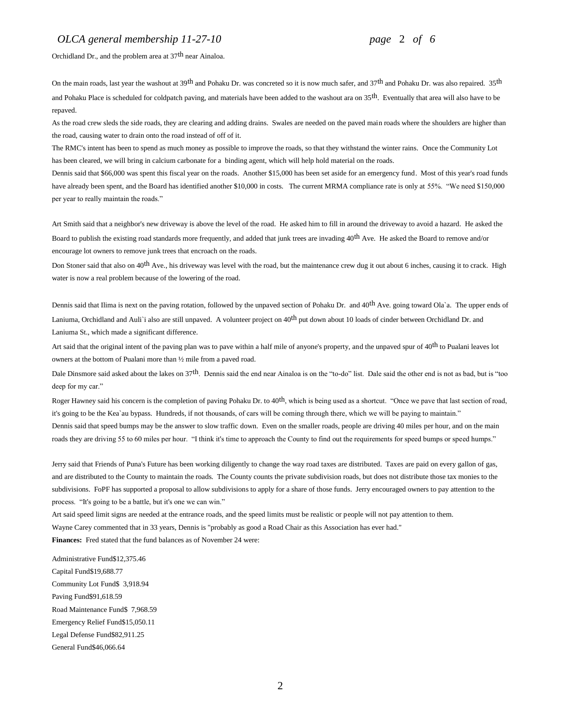#### *OLCA general membership 11-27-10 page* 2 *of 6*

Orchidland Dr., and the problem area at 37th near Ainaloa.

On the main roads, last year the washout at 39<sup>th</sup> and Pohaku Dr. was concreted so it is now much safer, and 37<sup>th</sup> and Pohaku Dr. was also repaired. 35<sup>th</sup> and Pohaku Place is scheduled for coldpatch paving, and materials have been added to the washout ara on 35<sup>th</sup>. Eventually that area will also have to be repaved.

As the road crew sleds the side roads, they are clearing and adding drains. Swales are needed on the paved main roads where the shoulders are higher than the road, causing water to drain onto the road instead of off of it.

The RMC's intent has been to spend as much money as possible to improve the roads, so that they withstand the winter rains. Once the Community Lot has been cleared, we will bring in calcium carbonate for a binding agent, which will help hold material on the roads.

Dennis said that \$66,000 was spent this fiscal year on the roads. Another \$15,000 has been set aside for an emergency fund. Most of this year's road funds have already been spent, and the Board has identified another \$10,000 in costs. The current MRMA compliance rate is only at 55%. "We need \$150,000 per year to really maintain the roads."

Art Smith said that a neighbor's new driveway is above the level of the road. He asked him to fill in around the driveway to avoid a hazard. He asked the Board to publish the existing road standards more frequently, and added that junk trees are invading 40<sup>th</sup> Ave. He asked the Board to remove and/or encourage lot owners to remove junk trees that encroach on the roads.

Don Stoner said that also on 40<sup>th</sup> Ave., his driveway was level with the road, but the maintenance crew dug it out about 6 inches, causing it to crack. High water is now a real problem because of the lowering of the road.

Dennis said that Ilima is next on the paving rotation, followed by the unpaved section of Pohaku Dr. and 40<sup>th</sup> Ave. going toward Ola'a. The upper ends of Laniuma, Orchidland and Auli'i also are still unpaved. A volunteer project on 40<sup>th</sup> put down about 10 loads of cinder between Orchidland Dr. and Laniuma St., which made a significant difference.

Art said that the original intent of the paving plan was to pave within a half mile of anyone's property, and the unpaved spur of 40<sup>th</sup> to Pualani leaves lot owners at the bottom of Pualani more than ½ mile from a paved road.

Dale Dinsmore said asked about the lakes on 37th. Dennis said the end near Ainaloa is on the "to-do" list. Dale said the other end is not as bad, but is "too deep for my car."

Roger Hawney said his concern is the completion of paving Pohaku Dr. to  $40<sup>th</sup>$ , which is being used as a shortcut. "Once we pave that last section of road, it's going to be the Kea`au bypass. Hundreds, if not thousands, of cars will be coming through there, which we will be paying to maintain." Dennis said that speed bumps may be the answer to slow traffic down. Even on the smaller roads, people are driving 40 miles per hour, and on the main roads they are driving 55 to 60 miles per hour. "I think it's time to approach the County to find out the requirements for speed bumps or speed humps."

Jerry said that Friends of Puna's Future has been working diligently to change the way road taxes are distributed. Taxes are paid on every gallon of gas, and are distributed to the County to maintain the roads. The County counts the private subdivision roads, but does not distribute those tax monies to the subdivisions. FoPF has supported a proposal to allow subdivisions to apply for a share of those funds. Jerry encouraged owners to pay attention to the process. "It's going to be a battle, but it's one we can win."

Art said speed limit signs are needed at the entrance roads, and the speed limits must be realistic or people will not pay attention to them. Wayne Carey commented that in 33 years, Dennis is "probably as good a Road Chair as this Association has ever had."

**Finances:** Fred stated that the fund balances as of November 24 were:

Administrative Fund\$12,375.46 Capital Fund\$19,688.77 Community Lot Fund\$ 3,918.94 Paving Fund\$91,618.59 Road Maintenance Fund\$ 7,968.59 Emergency Relief Fund\$15,050.11 Legal Defense Fund\$82,911.25 General Fund\$46,066.64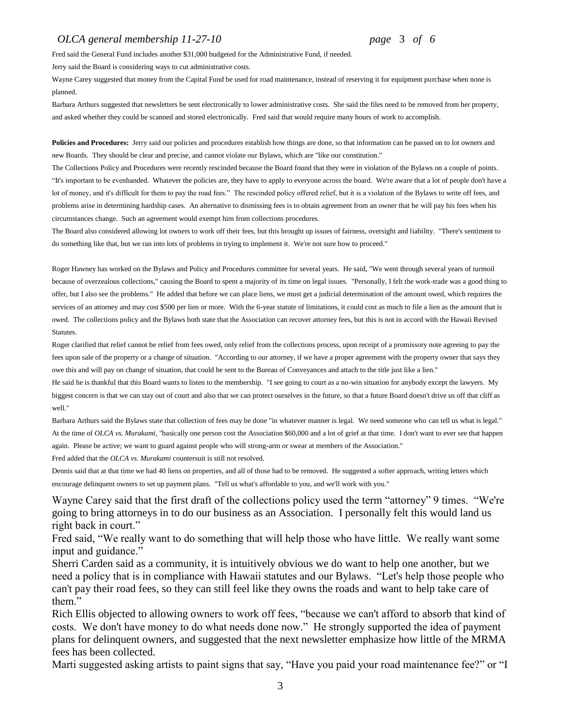#### *OLCA general membership 11-27-10 page* 3 *of 6*

Fred said the General Fund includes another \$31,000 budgeted for the Administrative Fund, if needed.

Jerry said the Board is considering ways to cut administrative costs.

Wayne Carey suggested that money from the Capital Fund be used for road maintenance, instead of reserving it for equipment purchase when none is planned.

Barbara Arthurs suggested that newsletters be sent electronically to lower administrative costs. She said the files need to be removed from her property, and asked whether they could be scanned and stored electronically. Fred said that would require many hours of work to accomplish.

**Policies and Procedures:** Jerry said our policies and procedures establish how things are done, so that information can be passed on to lot owners and new Boards. They should be clear and precise, and cannot violate our Bylaws, which are "like our constitution."

The Collections Policy and Procedures were recently rescinded because the Board found that they were in violation of the Bylaws on a couple of points. "It's important to be evenhanded. Whatever the policies are, they have to apply to everyone across the board. We're aware that a lot of people don't have a lot of money, and it's difficult for them to pay the road fees." The rescinded policy offered relief, but it is a violation of the Bylaws to write off fees, and problems arise in determining hardship cases. An alternative to dismissing fees is to obtain agreement from an owner that he will pay his fees when his circumstances change. Such an agreement would exempt him from collections procedures.

The Board also considered allowing lot owners to work off their fees, but this brought up issues of fairness, oversight and liability. "There's sentiment to do something like that, but we ran into lots of problems in trying to implement it. We're not sure how to proceed."

Roger Hawney has worked on the Bylaws and Policy and Procedures committee for several years. He said, "We went through several years of turmoil because of overzealous collections," causing the Board to spent a majority of its time on legal issues. "Personally, I felt the work-trade was a good thing to offer, but I also see the problems." He added that before we can place liens, we must get a judicial determination of the amount owed, which requires the services of an attorney and may cost \$500 per lien or more. With the 6-year statute of limitations, it could cost as much to file a lien as the amount that is owed. The collections policy and the Bylaws both state that the Association can recover attorney fees, but this is not in accord with the Hawaii Revised **Statutes** 

Roger clarified that relief cannot be relief from fees owed, only relief from the collections process, upon receipt of a promissory note agreeing to pay the fees upon sale of the property or a change of situation. "According to our attorney, if we have a proper agreement with the property owner that says they owe this and will pay on change of situation, that could be sent to the Bureau of Conveyances and attach to the title just like a lien."

He said he is thankful that this Board wants to listen to the membership. "I see going to court as a no-win situation for anybody except the lawyers. My biggest concern is that we can stay out of court and also that we can protect ourselves in the future, so that a future Board doesn't drive us off that cliff as well."

Barbara Arthurs said the Bylaws state that collection of fees may be done "in whatever manner is legal. We need someone who can tell us what is legal." At the time of *OLCA vs. Murakami*, "basically one person cost the Association \$60,000 and a lot of grief at that time. I don't want to ever see that happen again. Please be active; we want to guard against people who will strong-arm or swear at members of the Association."

Fred added that the *OLCA vs. Murakami* countersuit is still not resolved.

Dennis said that at that time we had 40 liens on properties, and all of those had to be removed. He suggested a softer approach, writing letters which encourage delinquent owners to set up payment plans. "Tell us what's affordable to you, and we'll work with you."

Wayne Carey said that the first draft of the collections policy used the term "attorney" 9 times. "We're going to bring attorneys in to do our business as an Association. I personally felt this would land us right back in court."

Fred said, "We really want to do something that will help those who have little. We really want some input and guidance."

Sherri Carden said as a community, it is intuitively obvious we do want to help one another, but we need a policy that is in compliance with Hawaii statutes and our Bylaws. "Let's help those people who can't pay their road fees, so they can still feel like they owns the roads and want to help take care of them."

Rich Ellis objected to allowing owners to work off fees, "because we can't afford to absorb that kind of costs. We don't have money to do what needs done now." He strongly supported the idea of payment plans for delinquent owners, and suggested that the next newsletter emphasize how little of the MRMA fees has been collected.

Marti suggested asking artists to paint signs that say, "Have you paid your road maintenance fee?" or "I

3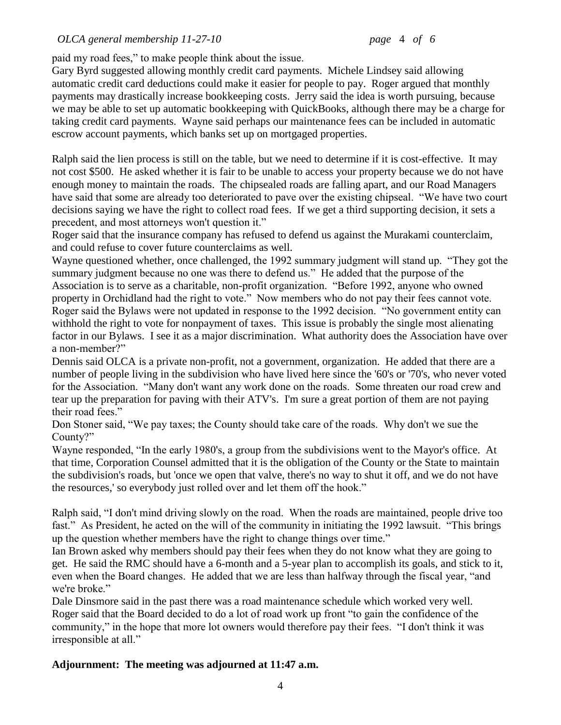paid my road fees," to make people think about the issue.

Gary Byrd suggested allowing monthly credit card payments. Michele Lindsey said allowing automatic credit card deductions could make it easier for people to pay. Roger argued that monthly payments may drastically increase bookkeeping costs. Jerry said the idea is worth pursuing, because we may be able to set up automatic bookkeeping with QuickBooks, although there may be a charge for taking credit card payments. Wayne said perhaps our maintenance fees can be included in automatic escrow account payments, which banks set up on mortgaged properties.

Ralph said the lien process is still on the table, but we need to determine if it is cost-effective. It may not cost \$500. He asked whether it is fair to be unable to access your property because we do not have enough money to maintain the roads. The chipsealed roads are falling apart, and our Road Managers have said that some are already too deteriorated to pave over the existing chipseal. "We have two court decisions saying we have the right to collect road fees. If we get a third supporting decision, it sets a precedent, and most attorneys won't question it."

Roger said that the insurance company has refused to defend us against the Murakami counterclaim, and could refuse to cover future counterclaims as well.

Wayne questioned whether, once challenged, the 1992 summary judgment will stand up. "They got the summary judgment because no one was there to defend us." He added that the purpose of the Association is to serve as a charitable, non-profit organization. "Before 1992, anyone who owned property in Orchidland had the right to vote." Now members who do not pay their fees cannot vote. Roger said the Bylaws were not updated in response to the 1992 decision. "No government entity can withhold the right to vote for nonpayment of taxes. This issue is probably the single most alienating factor in our Bylaws. I see it as a major discrimination. What authority does the Association have over a non-member?"

Dennis said OLCA is a private non-profit, not a government, organization. He added that there are a number of people living in the subdivision who have lived here since the '60's or '70's, who never voted for the Association. "Many don't want any work done on the roads. Some threaten our road crew and tear up the preparation for paving with their ATV's. I'm sure a great portion of them are not paying their road fees."

Don Stoner said, "We pay taxes; the County should take care of the roads. Why don't we sue the County?"

Wayne responded, "In the early 1980's, a group from the subdivisions went to the Mayor's office. At that time, Corporation Counsel admitted that it is the obligation of the County or the State to maintain the subdivision's roads, but 'once we open that valve, there's no way to shut it off, and we do not have the resources,' so everybody just rolled over and let them off the hook."

Ralph said, "I don't mind driving slowly on the road. When the roads are maintained, people drive too fast." As President, he acted on the will of the community in initiating the 1992 lawsuit. "This brings up the question whether members have the right to change things over time."

Ian Brown asked why members should pay their fees when they do not know what they are going to get. He said the RMC should have a 6-month and a 5-year plan to accomplish its goals, and stick to it, even when the Board changes. He added that we are less than halfway through the fiscal year, "and we're broke."

Dale Dinsmore said in the past there was a road maintenance schedule which worked very well. Roger said that the Board decided to do a lot of road work up front "to gain the confidence of the community," in the hope that more lot owners would therefore pay their fees. "I don't think it was irresponsible at all."

## **Adjournment: The meeting was adjourned at 11:47 a.m.**